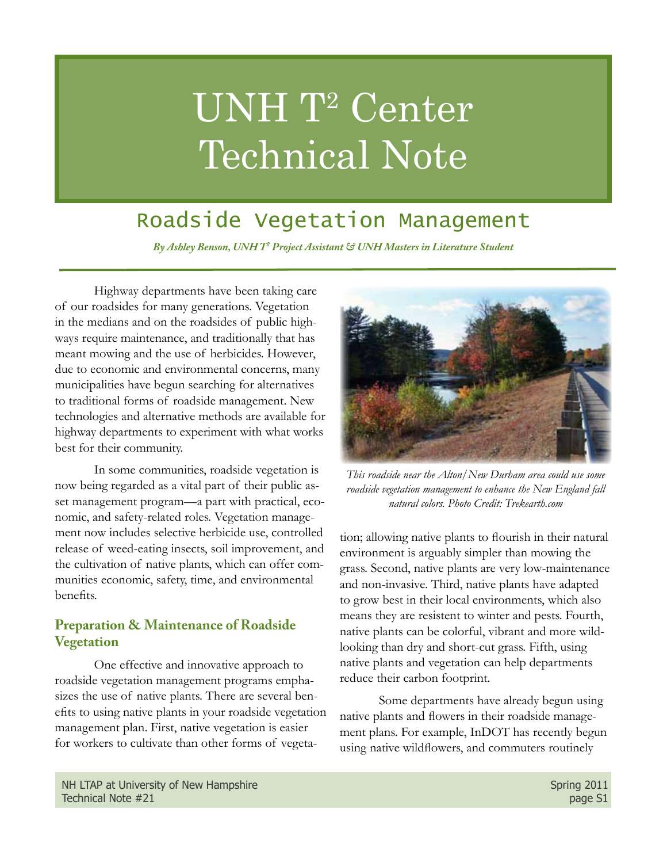# UNH T2 Center Technical Note

## Roadside Vegetation Management

*By Ashley Benson, UNH T2 Project Assistant & UNH Masters in Literature Student*

Highway departments have been taking care of our roadsides for many generations. Vegetation in the medians and on the roadsides of public highways require maintenance, and traditionally that has meant mowing and the use of herbicides. However, due to economic and environmental concerns, many municipalities have begun searching for alternatives to traditional forms of roadside management. New technologies and alternative methods are available for highway departments to experiment with what works best for their community.

In some communities, roadside vegetation is now being regarded as a vital part of their public asset management program—a part with practical, economic, and safety-related roles. Vegetation management now includes selective herbicide use, controlled release of weed-eating insects, soil improvement, and the cultivation of native plants, which can offer communities economic, safety, time, and environmental benefits.

#### **Preparation & Maintenance of Roadside Vegetation**

One effective and innovative approach to roadside vegetation management programs emphasizes the use of native plants. There are several benefits to using native plants in your roadside vegetation management plan. First, native vegetation is easier for workers to cultivate than other forms of vegeta-



*This roadside near the Alton/New Durham area could use some roadside vegetation management to enhance the New England fall natural colors. Photo Credit: Trekearth.com*

tion; allowing native plants to flourish in their natural environment is arguably simpler than mowing the grass. Second, native plants are very low-maintenance and non-invasive. Third, native plants have adapted to grow best in their local environments, which also means they are resistent to winter and pests. Fourth, native plants can be colorful, vibrant and more wildlooking than dry and short-cut grass. Fifth, using native plants and vegetation can help departments reduce their carbon footprint.

Some departments have already begun using native plants and flowers in their roadside management plans. For example, InDOT has recently begun using native wildflowers, and commuters routinely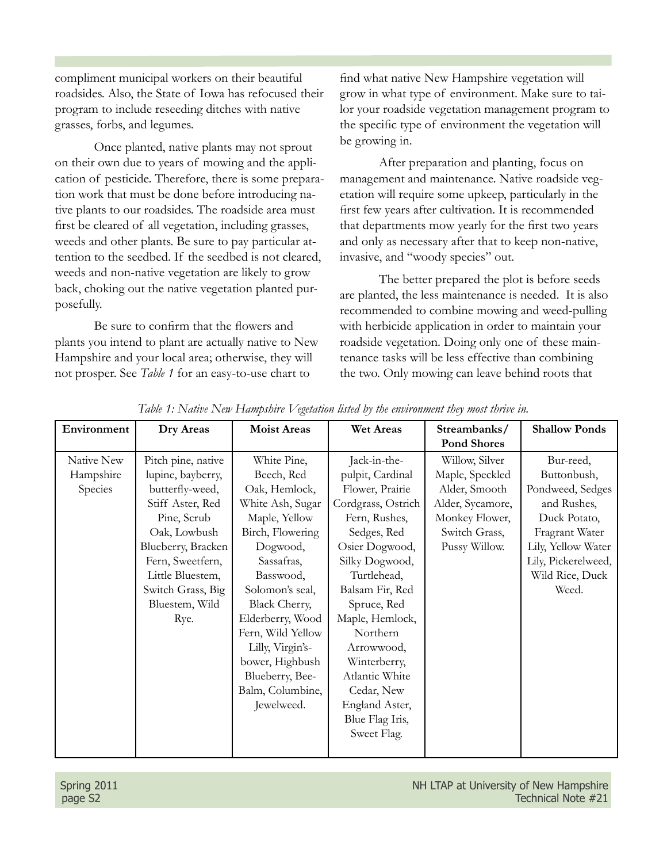compliment municipal workers on their beautiful roadsides. Also, the State of Iowa has refocused their program to include reseeding ditches with native grasses, forbs, and legumes.

Once planted, native plants may not sprout on their own due to years of mowing and the application of pesticide. Therefore, there is some preparation work that must be done before introducing native plants to our roadsides. The roadside area must first be cleared of all vegetation, including grasses, weeds and other plants. Be sure to pay particular attention to the seedbed. If the seedbed is not cleared, weeds and non-native vegetation are likely to grow back, choking out the native vegetation planted purposefully.

Be sure to confirm that the flowers and plants you intend to plant are actually native to New Hampshire and your local area; otherwise, they will not prosper. See *Table 1* for an easy-to-use chart to

find what native New Hampshire vegetation will grow in what type of environment. Make sure to tailor your roadside vegetation management program to the specific type of environment the vegetation will be growing in.

After preparation and planting, focus on management and maintenance. Native roadside vegetation will require some upkeep, particularly in the first few years after cultivation. It is recommended that departments mow yearly for the first two years and only as necessary after that to keep non-native, invasive, and "woody species" out.

The better prepared the plot is before seeds are planted, the less maintenance is needed. It is also recommended to combine mowing and weed-pulling with herbicide application in order to maintain your roadside vegetation. Doing only one of these maintenance tasks will be less effective than combining the two. Only mowing can leave behind roots that

| Environment | Dry Areas          | <b>Moist Areas</b>   | Wet Areas          | Streambanks/<br><b>Pond Shores</b> | <b>Shallow Ponds</b> |
|-------------|--------------------|----------------------|--------------------|------------------------------------|----------------------|
| Native New  | Pitch pine, native | White Pine,          | Jack-in-the-       | Willow, Silver                     | Bur-reed,            |
| Hampshire   | lupine, bayberry,  | Beech, Red           | pulpit, Cardinal   | Maple, Speckled                    | Buttonbush,          |
| Species     | butterfly-weed,    | Oak, Hemlock,        | Flower, Prairie    | Alder, Smooth                      | Pondweed, Sedges     |
|             | Stiff Aster, Red   | White Ash, Sugar     | Cordgrass, Ostrich | Alder, Sycamore,                   | and Rushes,          |
|             | Pine, Scrub        | Maple, Yellow        | Fern, Rushes,      | Monkey Flower,                     | Duck Potato,         |
|             | Oak, Lowbush       | Birch, Flowering     | Sedges, Red        | Switch Grass,                      | Fragrant Water       |
|             | Blueberry, Bracken | Dogwood,             | Osier Dogwood,     | Pussy Willow.                      | Lily, Yellow Water   |
|             | Fern, Sweetfern,   | Sassafras,           | Silky Dogwood,     |                                    | Lily, Pickerelweed,  |
|             | Little Bluestem,   | Basswood,            | Turtlehead,        |                                    | Wild Rice, Duck      |
|             | Switch Grass, Big  | Solomon's seal,      | Balsam Fir, Red    |                                    | Weed.                |
|             | Bluestem, Wild     | <b>Black Cherry,</b> | Spruce, Red        |                                    |                      |
|             | Rye.               | Elderberry, Wood     | Maple, Hemlock,    |                                    |                      |
|             |                    | Fern, Wild Yellow    | Northern           |                                    |                      |
|             |                    | Lilly, Virgin's-     | Arrowwood,         |                                    |                      |
|             |                    | bower, Highbush      | Winterberry,       |                                    |                      |
|             |                    | Blueberry, Bee-      | Atlantic White     |                                    |                      |
|             |                    | Balm, Columbine,     | Cedar, New         |                                    |                      |
|             |                    | Jewelweed.           | England Aster,     |                                    |                      |
|             |                    |                      | Blue Flag Iris,    |                                    |                      |
|             |                    |                      | Sweet Flag.        |                                    |                      |
|             |                    |                      |                    |                                    |                      |

*Table 1: Native New Hampshire Vegetation listed by the environment they most thrive in.*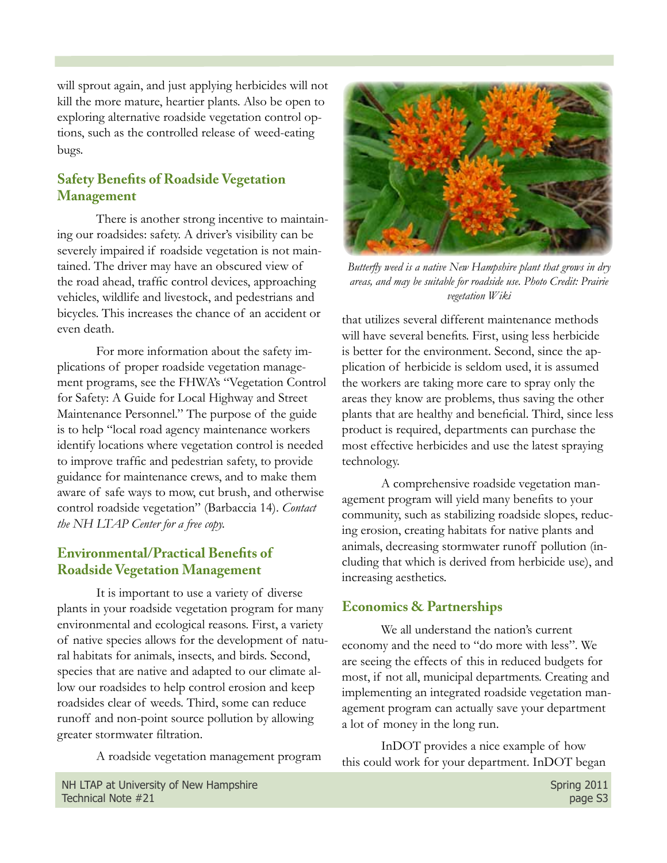will sprout again, and just applying herbicides will not kill the more mature, heartier plants. Also be open to exploring alternative roadside vegetation control options, such as the controlled release of weed-eating bugs.

### **Safety Benefits of Roadside Vegetation Management**

There is another strong incentive to maintaining our roadsides: safety. A driver's visibility can be severely impaired if roadside vegetation is not maintained. The driver may have an obscured view of the road ahead, traffic control devices, approaching vehicles, wildlife and livestock, and pedestrians and bicycles. This increases the chance of an accident or even death.

For more information about the safety implications of proper roadside vegetation management programs, see the FHWA's "Vegetation Control for Safety: A Guide for Local Highway and Street Maintenance Personnel." The purpose of the guide is to help "local road agency maintenance workers identify locations where vegetation control is needed to improve traffic and pedestrian safety, to provide guidance for maintenance crews, and to make them aware of safe ways to mow, cut brush, and otherwise control roadside vegetation" (Barbaccia 14). *Contact the NH LTAP Center for a free copy.*

### **Environmental/Practical Benefits of Roadside Vegetation Management**

It is important to use a variety of diverse plants in your roadside vegetation program for many environmental and ecological reasons. First, a variety of native species allows for the development of natural habitats for animals, insects, and birds. Second, species that are native and adapted to our climate allow our roadsides to help control erosion and keep roadsides clear of weeds. Third, some can reduce runoff and non-point source pollution by allowing greater stormwater filtration.

A roadside vegetation management program



*Butterfly weed is a native New Hampshire plant that grows in dry areas, and may be suitable for roadside use. Photo Credit: Prairie vegetation Wiki*

that utilizes several different maintenance methods will have several benefits. First, using less herbicide is better for the environment. Second, since the application of herbicide is seldom used, it is assumed the workers are taking more care to spray only the areas they know are problems, thus saving the other plants that are healthy and beneficial. Third, since less product is required, departments can purchase the most effective herbicides and use the latest spraying technology.

A comprehensive roadside vegetation management program will yield many benefits to your community, such as stabilizing roadside slopes, reducing erosion, creating habitats for native plants and animals, decreasing stormwater runoff pollution (including that which is derived from herbicide use), and increasing aesthetics.

#### **Economics & Partnerships**

We all understand the nation's current economy and the need to "do more with less". We are seeing the effects of this in reduced budgets for most, if not all, municipal departments. Creating and implementing an integrated roadside vegetation management program can actually save your department a lot of money in the long run.

InDOT provides a nice example of how this could work for your department. InDOT began

NH LTAP at University of New Hampshire Spring 2011 Technical Note #21 page S3